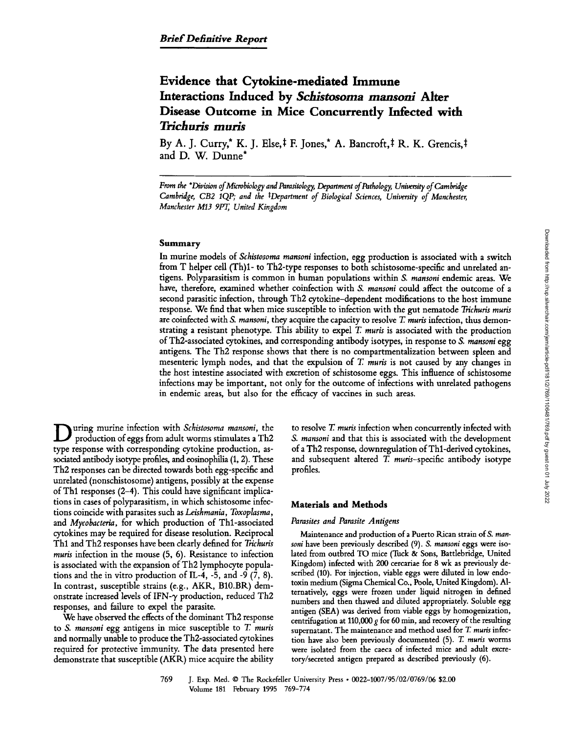# **Evidence that Cytokine-mediated Immune Interactions Induced by** *Schistosoma mansonl* **Alter Disease Outcome in Mice Concurrently Infected with**  *Trichuris muris*

By A. J. Curry,\* K. J. Else, $\dagger$  F. Jones,\* A. Bancroft, $\dagger$  R. K. Grencis, $\dagger$ and D. W. Dunne\*

*From the \*Division of Microbiology and Parasitology, Department of Pathology, Unitersity of Cambridge Cambridge, CB2 IQP; and the ~Department of Biological Sciences, University of Manchester, Manchester M13 9PT, United Kingdom* 

# Summary

In murine models of *Schistosoma mansoni* infection, egg production is associated with a switch from T helper cell (Th)1- to Th2-type responses to both schistosome-specific and unrelated antigens. Polyparasitism is common in human populations within *S. mansoni* endemic areas. We have, therefore, examined whether coinfection with S. *mansoni* could affect the outcome of a second parasitic infection, through Th2 cytokine-dependent modifications to the host immune response. We find that when mice susceptible to infection with the gut nematode *Trichuris muris*  are coinfected with *S. mansoni,* they acquire the capacity to resolve T. *muris* infection, thus demonstrating a resistant phenotype. This ability to expel T. *muris* is associated with the production of Th2-associated cytokines, and corresponding antibody isotypes, in response to *S. mansoni* egg antigens. The Th2 response shows that there is no compartmentalization between spleen and mesenteric lymph nodes, and that the expulsion of T. *muris* is not caused by any changes in the host intestine associated with excretion of schistosome eggs. This influence of schistosome infections may be important, not only for the outcome of infections with unrelated pathogens in endemic areas, but also for the efficacy of vaccines in such areas.

**D** uring murine infection with *Schistosoma mansoni,* the production of eggs from adult worms stimulates a Th2 type response with corresponding cytokine production, associated antibody isotype profiles, and eosinophilia (1, 2). These Th2 responses can be directed towards both egg-specific and unrelated (nonschistosome) antigens, possibly at the expense of Thl responses (2-4). This could have significant implications in cases of polyparasitism, in which schistosome infections coincide with parasites such as *Leishmania*, *Toxoplasma*, and *Mycobacteria,* for which production of Thl-associated cytokines may be required for disease resolution. Reciprocal Thl and Th2 responses have been dearly defined for *Trichuris muris* infection in the mouse (5, 6). Resistance to infection is associated with the expansion of Th2 lymphocyte populations and the in vitro production of IL-4, -5, and -9  $(7, 8)$ . In contrast, susceptible strains (e.g., AKR, B10.BR) demonstrate increased levels of IFN- $\gamma$  production, reduced Th2 responses, and failure to expel the parasite.

We have observed the effects of the dominant Th2 response to *S. mansoni* egg antigens in mice susceptible to T. *muris*  and normally unable to produce the Th2-associated cytokines required for protective immunity. The data presented here demonstrate that susceptible (AKR.) mice acquire the ability to resolve T. *muris* infection when concurrently infected with *S. mansoni* and that this is associated with the development of a Th2 response, downregulation of Thl-derived cytokines, and subsequent altered T. *muris*-specific antibody isotype profiles.

# **Materials and Methods**

#### *Parasites and Parasite Antigens*

Maintenance and production of a Puerto Rican strain of *S. mansoni* have been previously described (9). *S. mansoni* eggs were isolated from outbred TO mice (Tuck & Sons, Battlebridge, United Kingdom) infected with 200 cercariae for 8 wk as previously described (10). For injection, viable eggs were diluted in low endotoxin medium (Sigma Chemical Co., Poole, United Kingdom). Alternatively, eggs were frozen under liquid nitrogen in defined numbers and then thawed and diluted appropriately. Soluble egg antigen (SEA) was derived from viable eggs by homogenization, centrifugation at 110,000 g for 60 min, and recovery of the resulting supernatant. The maintenance and method used for T *muris* infection have also been previously documented (5). T. *muris* worms were isolated from the caeca of infected mice and adult excretory/secreted antigen prepared as described previously (6).

<sup>769</sup> J. Exp. Med. 9 The Rockefeller University Press 9 *0022-1007/95/02/0769/06* \$2.00 Volume 181 February 1995 769-774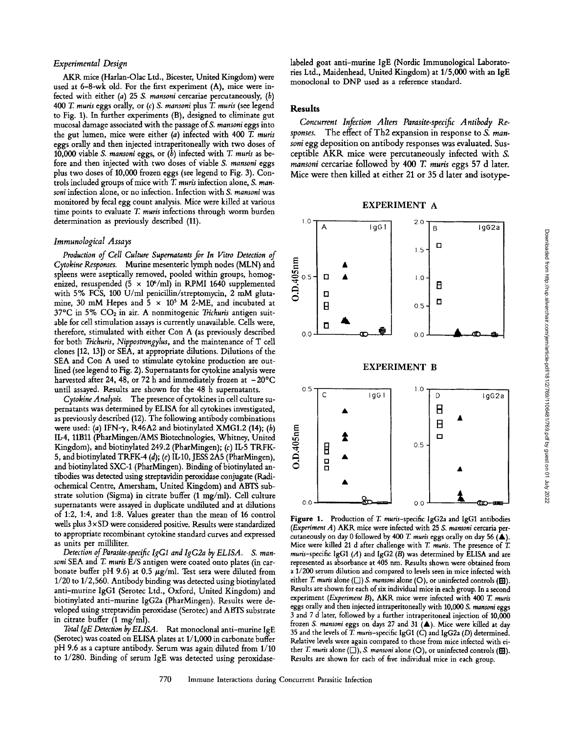#### *Experimental Design*

AKR mice (Harlan-Olac Ltd., Bicester, United Kingdom) were used at 6-8-wk old. For the first experiment (A), mice were infected with either (a) 25 *S. mansoni* cercariae percutaneously, (b) *400 T. muris* eggs orally, or *(c) S. mansoni* plus T. *muris* (see legend to Fig. 1). In further experiments (B), designed to eliminate gut mucosal damage associated with the passage of *S. mansoni* eggs into the gut lumen, mice were either (a) infected with 400 T. *muris*  eggs orally and then injected intraperitoneally with two doses of 10,000 viable *S. mansoni* eggs, or (b) infected with T. *muris* as before and then injected with two doses of viable *S. mansoni* eggs plus two doses of 10,000 frozen eggs (see legend to Fig. 3). Controls included groups of mice with T. *muris* infection alone, *S. mansoni* infection alone, or no infection. Infection with *S. rnansoni* was monitored by fecal egg count analysis. Mice were killed at various time points to evaluate T. *muris* infections through worm burden determination as previously described (11).

#### *Immunological Assays*

*Production of Cell Culture Supematants for In Vitro Detection of Cytoleine Responses.* Murine mesenteric lymph nodes (MLN) and Cytokine Responses. Murine mesenteric lymph nodes (MLN) and spleens were aseptically removed, pooled within groups, homog-<br>enized, resuspended (5 × 10<sup>6</sup>/ml) in RPMI 1640 supplemented with 5% FCS, 100 U/ml penicillin/stre enized, resuspended (5  $\times$  10<sup>6</sup>/ml) in RPMI 1640 supplemented with 5% FCS, 100 U/ml penicillin/streptomycin, 2 mM glutamine, 30 mM Hepes and  $5 \times 10^5$  M 2-ME, and incubated at 37~ in 5% COz in air. A nonmitogenic *Trichuris* antigen suitable for cell stimulation assays is currently unavailable. Cells were, therefore, stimulated with either Con A (as previously described  $_{0,0}$ for both *Trichuris, Nippostrongylus,* and the maintenance of T cell clones [12, 13]) or SEA, at appropriate dilutions. Dilutions of the SEA and Con A used to stimulate cytokine production are outlined (see legend to Fig. 2). Supernatants for cytokine analysis were harvested after 24, 48, or 72 h and immediately frozen at  $-20^{\circ}$ C until assayed. Results are shown for the 48 h supernatants. 0.5

Cytokine Analysis. The presence of cytokines in cell culture supematants was determined by ELISA for all cytokines investigated, as previously described (12). The following antibody combinations were used: (a) IFN- $\gamma$ , R46A2 and biotinylated XMG1.2 (14); (b) IL-4, 11Bll (PharMingen/AMS Biotechnologies, Whitney, United Kingdom), and biotinylated 249.2 (PharMingen); (c) IL-5 TRFK-5, and biotinylated TKFK-4 (d); (e) IL-10, JESS 2A5 (PharMingen), and biotinylated SXC-1 (PharMingen). Binding of biotinylated antibodies was detected using streptavidin peroxidase conjugate (Radiochemical Centre, Amersham, United Kingdom) and ABTS substrate solution (Sigma) in citrate buffer (1 mg/ml). Cell culture supernatants were assayed in duplicate undiluted and at dilutions <sup>0.0</sup> of 1:2, 1:4, and 1:8. Values greater than the mean of 16 control wells plus  $3 \times SD$  were considered positive. Results were standardized to appropriate recombinant cytokine standard curves and expressed as units per milliliter.

*Detection of Parasite-specific IgG1 and IgG2a by ELISA. S. mansoni* SEA and T. *muris* E/S antigen were coated onto plates (in carbonate buffer pH 9.6) at 0.5  $\mu$ g/ml. Test sera were diluted from 1/20 to 1/2,560. Antibody binding was detected using biotinylated anti-murine IgG1 (Serotec Ltd., Oxford, United Kingdom) and biotinylated anti-murine IgG2a (PharMingen). Results were developed using streptavidin peroxidase (Serotec) and ABTS substrate in citrate buffer (1 mg/ml).

*Total IgE Detection by ELISA.* Rat monoclonal anti-murine IgE (Serotec) was coated on ELISA plates at 1/1,000 in carbonate buffer pH 9.6 as a capture antibody. Serum was again diluted from 1/10 to 1/280. Binding of serum IgE was detected using peroxidaselabeled goat anti-murine IgE (Nordic Immunological Laboratories Ltd., Maidenhead, United Kingdom) at 1/5,000 with an IgE monoclonal to DNP used as a reference standard.

# **Results**

10

*Concurrent Infection Alters Parasite-specific Antibody Responses.* The effect of Th2 expansion in response to *S. mansoni* egg deposition on antibody responses was evaluated. Susceptible AKR mice were percutaneously infected with S. *mansoni* cercariae followed by 400 T. *muris* eggs 57 d later. Mice were then killed at either 21 or 35 d later and isotype-



2.0



**Figure** 1. Production of T. *muris-specific* lgG2a and IgG1 antibodies *(Experiment A)* AKR mice were infected with 25 *S. mansoni* cercaria percutaneously on day 0 followed by 400 T. muris eggs orally on day 56 (A). Mice were killed 21 d after challenge with T. *muris.* The presence of T. muris-specific IgG1 ( $A$ ) and IgG2 ( $B$ ) was determined by ELISA and are represented as absorbance at 405 nm. Results shown were obtained from a 1/200 serum dilution and compared to levels seen in mice infected with either T. muris alone ( $\square$ ) S. mansoni alone (O), or uninfected controls ( $\square$ ). Results are shown for each of six individual mice in each group. In a second experiment *(Experiment B),* AKR mice were infected with 400 T. *muris*  eggs orally and then injected intraperitoneally with 10,000 *S. mansoni* eggs 3 and 7 d later, followed by a further intraperitoneal injection of 10,000 frozen *S. mansoni* eggs on days 27 and 31 (A). Mice were killed at day 35 and the levels of T. *muns-specific* IgG1 (C) and IgG2a (D) determined. Relative levels were again compared to those from mice infected with either *T. muris* alone  $(\Box)$ , *S. mansoni* alone  $(O)$ , or uninfected controls  $(\boxplus)$ . Results are shown for each of five individual mice in each group.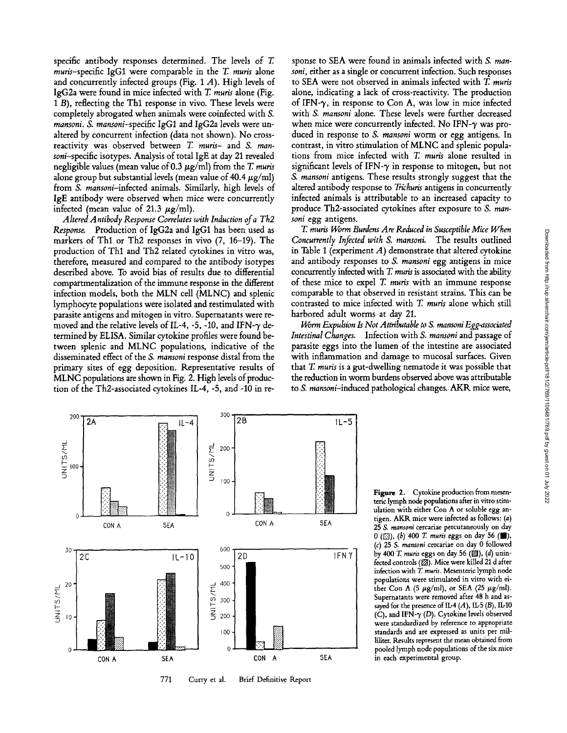specific antibody responses determined. The levels of T. muris-specific IgG1 were comparable in the T. muris alone and concurrently infected groups (Fig. 1 A). High levels of IgG2a were found in mice infected with T. *muffs* alone (Fig. 1 B), reflecting the Thl response in vivo. These levels were completely abrogated when animals were coinfected with S. *mansoni. S. mansoni-specific* IgG1 and IgG2a levels were unaltered by concurrent infection (data not shown). No crossreactivity was observed between T *muris-* and *S. mansoni-specific* isotypes. Analysis of total IgE at day 21 revealed negligible values (mean value of  $0.3 \mu g/ml$ ) from the *T. muris* alone group but substantial levels (mean value of 40.4  $\mu$ g/ml) from *S. mansoni-infected* animals. Similarly, high levels of IgE antibody were observed when mice were concurrently infected (mean value of 21.3  $\mu$ g/ml).

*Altered Antibody Response Correlates with Induction of a Th2 Response.* Production of IgG2a and IgG1 has been used as markers of Thl or Th2 responses in vivo (7, 16-19). The production of Thl and Th2 related cytokines in vitro was, therefore, measured and compared to the antibody isotypes described above. To avoid bias of results due to differential compartmentalization of the immune response in the different infection models, both the MLN cell (MLNC) and splenic lymphocyte populations were isolated and restimulated with parasite antigens and mitogen in vitro. Supernatants were removed and the relative levels of IL-4, -5, -10, and IFN- $\gamma$  determined by ELISA. Similar cytokine profiles were found between splenic and MLNC populations, indicative of the disseminated effect of the *S. mansoni* response distal from the primary sites of egg deposition. Representative results of MLNC populations are shown in Fig. 2. High levels of production of the Th2-associated cytokines IL-4, -5, and -10 in response to SEA were found in animals infected with S. *mansoni,* either as a single or concurrent infection. Such responses to SEA were not observed in animals infected with T. *muris*  alone, indicating a lack of cross-reactivity. The production of IFN- $\gamma$ , in response to Con A, was low in mice infected with *S. mansoni* alone. These levels were further decreased when mice were concurrently infected. No IFN- $\gamma$  was produced in response to *S. mansoni* worm or egg antigens. In contrast, in vitro stimulation of MLNC and splenic populations from mice infected with T. muris alone resulted in significant levels of IFN- $\gamma$  in response to mitogen, but not *S. mansoni* antigens. These results strongly suggest that the altered antibody response to *Trichuris* antigens in concurrently infected animals is attributable to an increased capacity to produce Th2-associated cytokines after exposure to *S. mansoni* egg antigens.

*T. muris Worm Burdens Are Reduced in Susceptible Mice When Concurrently Infected with S. mansoni.* The results outlined in Table 1 (experiment  $A$ ) demonstrate that altered cytokine and antibody responses to *S. mansoni* egg antigens in mice concurrently infected with T. *muffs* is associated with the ability of these mice to expel T. *muffs* with an immune response comparable to that observed in resistant strains. This can be contrasted to mice infected with T. *muris* alone which still harbored adult worms at day 21.

*Worm Expulsion Is Not Attributable to S. mansoni Egg-associated Intestinal Changes.* Infection with *S. mansoni* and passage of parasite eggs into the lumen of the intestine are associated with inflammation and damage to mucosal surfaces. Given that T, *muris* is a gut-dwelling nematode it was possible that the reduction in worm burdens observed above was attributable to *S. mansoni-induced* pathological changes. AKR mice were,



771 Curry et al. Brief Definitive Report

 $\begin{bmatrix} 1 & 0 & 0 & 0 & 0 \\ 0 & 0 & 0 & 0 & 0 \\ 0 & 0 & 0 & 0 & 0 \\ 0 & 0 & 0 & 0 & 0 \end{bmatrix}$  (b)  $\begin{bmatrix} 1 & 0 & 0 \\ 0 & 0 & 0 \\ 0 & 0 & 0 \\ 0 & 0 & 0 \end{bmatrix}$  (d) unin-Figure 2. Cytokine production from mesenteric lymph node populations after in vitro stimulation with either Con A or soluble egg antigen. AKK mice were infected as follows: (a) 25 *S. mansoni* cercariae percutaneously on day *0 ([]), (b) 400 T. muffs* eggs on day 56 (/), (c) 25 *S. mansoni* cercariae on day 0 followed fected controls (Z). Mice were killed 21 d after infection with T. muris. Mesenteric lymph node populations were stimulated in vitro with either Con A (5  $\mu$ g/ml), or SEA (25  $\mu$ g/ml). Supematants were removed after 48 h and assayed for the presence of IL-4  $(A)$ , IL-5  $(B)$ , IL-10 (C), and IFN- $\gamma$  (D). Cytokine levels observed were standardized by reference to appropriate standards and are expressed as units per milliliter. Results represent the mean obtained from pooled lymph node populations of the six mice in each experimental group.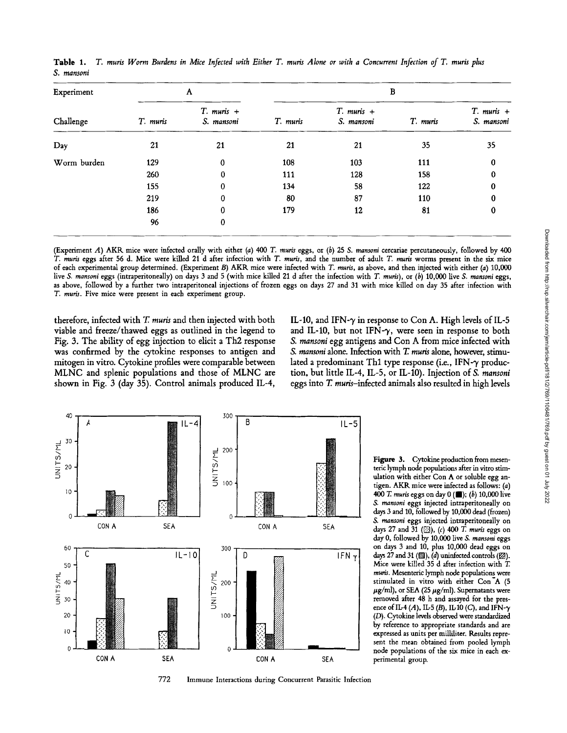| Experiment<br>Challenge | A        |                              | B        |                              |          |                              |
|-------------------------|----------|------------------------------|----------|------------------------------|----------|------------------------------|
|                         | T. muris | $T.$ muris $+$<br>S. mansoni | T. muris | $T.$ muris $+$<br>S. mansoni | T. muris | $T.$ muris $+$<br>S. mansoni |
| Day                     | 21       | 21                           | 21       | 21                           | 35       | 35                           |
| Worm burden             | 129      | 0                            | 108      | 103                          | 111      | 0                            |
|                         | 260      | 0                            | 111      | 128                          | 158      | 0                            |
|                         | 155      | 0                            | 134      | 58                           | 122      | 0                            |
|                         | 219      | $\bf{0}$                     | 80       | 87                           | 110      |                              |
|                         | 186      | 0                            | 179      | 12                           | 81       | 0                            |
|                         | 96       | 0                            |          |                              |          |                              |

Table 1. T. muris Worm Burdens in Mice Infected with Either T. muris Alone or with a Concurrent Infection of T. muris plus *S. mansoni* 

(Experiment A) AKR mice were infected orally with either (a) 400 T. muris eggs, or (b) 25 *S. mansoni* cercariae percutaneously, followed by 400 *T. muds* eggs after 56 d. Mice were killed 21 d after infection with *T. muds,* and the number of adult *T. muffs* worms present in the six mice of each experimental group determined. (Experiment B) AKR mice were infected with *T. muds,* as above, and then injected with either (a) 10,000 live *S. mansoni eggs* (intraperitoneally) on days 3 and 5 (with mice killed 21 d after the infection with *T. muris*), or (b) 10,000 live *S. mansoni eggs*, as above, followed by a further two intraperitoneal injections of frozen eggs on days 27 and 31 with mice killed on day 35 after infection with *T. muris.* Five mice were present in each experiment group.

therefore, infected with T. muris and then injected with both viable and freeze/thawed eggs as outlined in the legend to Fig. 3. The ability of egg injection to elicit a Th2 response was confirmed by the cytokine responses to antigen and mitogen in vitro. Cytokine profiles were comparable between MLNC and splenic populations and those of MLNC are shown in Fig. 3 (day 35). Control animals produced IL-4, IL-10, and IFN- $\gamma$  in response to Con A. High levels of IL-5 and IL-10, but not IFN- $\gamma$ , were seen in response to both *S. mansoni* egg antigens and Con A from mice infected with *S. mansoni* alone. Infection with *T. muris* alone, however, stimulated a predominant Th1 type response (i.e., IFN- $\gamma$  production, but little IL-4, IL-5, or IL-10). Injection of S. *mansoni* eggs into  $T$ . muris-infected animals also resulted in high levels



Figure 3. Cytokine production from mesenteric lymph node populations after in vitro stimulation with either Con A or soluble egg antigen. AKR mice were infected as follows: (a) 400 T. muris eggs on day 0 (**II**); (b) 10,000 live *S. mansoni* eggs injected intraperitoneally on days 3 and 10, followed by 10,000 dead (frozen) *& raansoni* eggs injected intraperitoneally on days 27 and 31 ([2]), (c) 400 T. *muris* eggs on day 0, followed by 10,000 live *S. mansoni* eggs on days 3 and 10, plus 10,000 dead eggs on days 27 and 31 ( $(2)$ ),  $(d)$  uninfected controls ( $(2)$ ). Mice were killed 35 d after infection with T. *muffs.* Mesenteric lymph node populations were stimulated in vitro with either Con<sup>7</sup>A (5  $\mu$ g/ml), or SEA (25  $\mu$ g/ml). Supernatants were removed after 48 h and assayed for the presence of IL-4 (A), IL-5 (B), IL-10 (C), and IFN- $\gamma$ (D). Cytokine levels observed were standardized by reference to appropriate standards and are expressed as units per milliliter. Results represent the mean obtained from pooled lymph node populations of the six mice in each experimental group.

772 Immune Interactions during Concurrent Parasitic Infection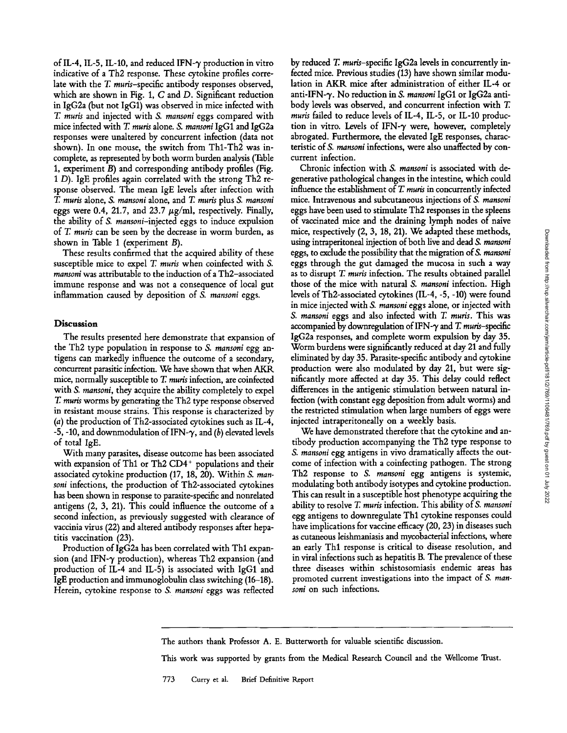of IL-4, IL-5, IL-10, and reduced IFN- $\gamma$  production in vitro indicative of a Th2 response. These cytokine profiles correlate with the  $T$ . muris-specific antibody responses observed, which are shown in Fig. 1, C and D. Significant reduction in IgG2a (but not IgG1) was observed in mice infected with *T. muris* and injected with *S. mansoni* eggs compared with mice infected with T. *muris* alone. *S. mansoni* IgG1 and IgG2a responses were unaltered by concurrent infection (data not shown). In one mouse, the switch from Thl-Th2 was incomplete, as represented by both worm burden analysis (Table 1, experiment B) and corresponding antibody profiles (Fig. 1 D). IgE profiles again correlated with the strong Th2 response observed. The mean IgE levels after infection with *T. muris* alone, *S. mansoni* alone, and T. *muris* plus *S. mansoni*  eggs were 0.4, 21.7, and 23.7  $\mu$ g/ml, respectively. Finally, the ability of *S. mansoni-injected* eggs to induce expulsion of T. *muris* can be seen by the decrease in worm burden, as shown in Table 1 (experiment B).

These results confirmed that the acquired ability of these susceptible mice to expel T. *muris* when coinfected with S. *mansoni* was attributable to the induction of a Th2-associated immune response and was not a consequence of local gut inflammation caused by deposition of *S. mansoni* eggs.

# **Discussion**

The results presented here demonstrate that expansion of the Th2 type population in response to *S. mansoni* egg antigens can markedly influence the outcome of a secondary, concurrent parasitic infection. We have shown that when AKR mice, normally susceptible to T. *muris* infection, are coinfected with *S. mansoni,* they acquire the ability completely to expel *T. muris* worms by generating the Th2 type response observed in resistant mouse strains. This response is characterized by (a) the production of Th2-associated cytokines such as IL-4, -5, -10, and downmodulation of IFN- $\gamma$ , and (b) elevated levels of total IgE.

With many parasites, disease outcome has been associated with expansion of Th1 or Th2 CD4<sup>+</sup> populations and their associated cytokine production (17, 18, 20). Within *\$. mansoni* infections, the production of Th2-associated cytokines has been shown in response to parasite-specific and nonrelated antigens (2, 3, 21). This could influence the outcome of a second infection, as previously suggested with clearance of vaccinia virus (22) and altered antibody responses after hepatitis vaccination (23).

Production of IgG2a has been correlated with Thl expansion (and IFN- $\gamma$  production), whereas Th2 expansion (and production of IL-4 and IL-5) is associated with IgG1 and IgE production and immunoglobulin class switching (16-18). Herein, cytokine response to *S. mansoni* eggs was reflected by reduced  $T$ . muris-specific IgG2a levels in concurrently infected mice. Previous studies (13) have shown similar modulation in AKR mice after administration of either IL-4 or anti-IFN-% No reduction in *S. mansoni* IgG1 or IgG2a antibody levels was observed, and concurrent infection with T. *muris* failed to reduce levels of IL-4, IL-5, or IL-10 production in vitro. Levels of IFN- $\gamma$  were, however, completely abrogated. Furthermore, the elevated IgE responses, characteristic of *S. mansoni* infections, were also unaffected by concurrent infection.

Chronic infection with *S. mansoni* is associated with degenerative pathological changes in the intestine, which could influence the establishment of T. muris in concurrently infected mice. Intravenous and subcutaneous injections of *S. mansoni*  eggs have been used to stimulate Th2 responses in the spleens of vaccinated mice and the draining lymph nodes of naive mice, respectively (2, 3, 18, 21). We adapted these methods, using intraperitoneal injection of both live and dead *S. mansoni*  eggs, to exclude the possibility that the migration of S. *mansoni* eggs through the gut damaged the mucosa in such a way as to disrupt T. *muris* infection. The results obtained parallel those of the mice with natural *S. mansoni* infection. High levels of Th2-associated cytokines (IL-4, -5, -10) were found in mice injected with *S. mansoni* eggs alone, or injected with *S. mansoni* eggs and also infected with T. *muris.* This was accompanied by downregulation of IFN- $\gamma$  and T. *muris*-specific IgG2a responses, and complete worm expulsion by day 35. Worm burdens were significantly reduced at day 21 and fully eliminated by day 35. Parasite-specific antibody and cytokine production were also modulated by day 21, but were significantly more affected at day 35. This delay could reflect differences in the antigenic stimulation between natural infection (with constant egg deposition from adult worms) and the restricted stimulation when large numbers of eggs were injected intraperitoneally on a weekly basis.

We have demonstrated therefore that the cytokine and antibody production accompanying the Th2 type response to *S. mansoni* egg antigens in vivo dramatically affects the outcome of infection with a coinfecting pathogen. The strong Th2 response to *S. mansoni* egg antigens is systemic, modulating both antibody isotypes and cytokine production. This can result in a susceptible host phenotype acquiring the ability to resolve T. *muris* infection. This ability of *S. mansoni*  egg antigens to downregulate Thl cytokine responses could have implications for vaccine efficacy (20, 23) in diseases such as cutaneous leishmaniasis and mycobacterial infections, where an early Thl response is critical to disease resolution, and in viral infections such as hepatitis B. The prevalence of these three diseases within schistosomiasis endemic areas has promoted current investigations into the impact of *S. mansoni* on such infections.

The authors thank Professor A. E. Butterworth for valuable scientific discussion.

This work was supported by grants from the Medical Research Council and the WeUcome Trust.

773 Curry et al. Brief Definitive Report